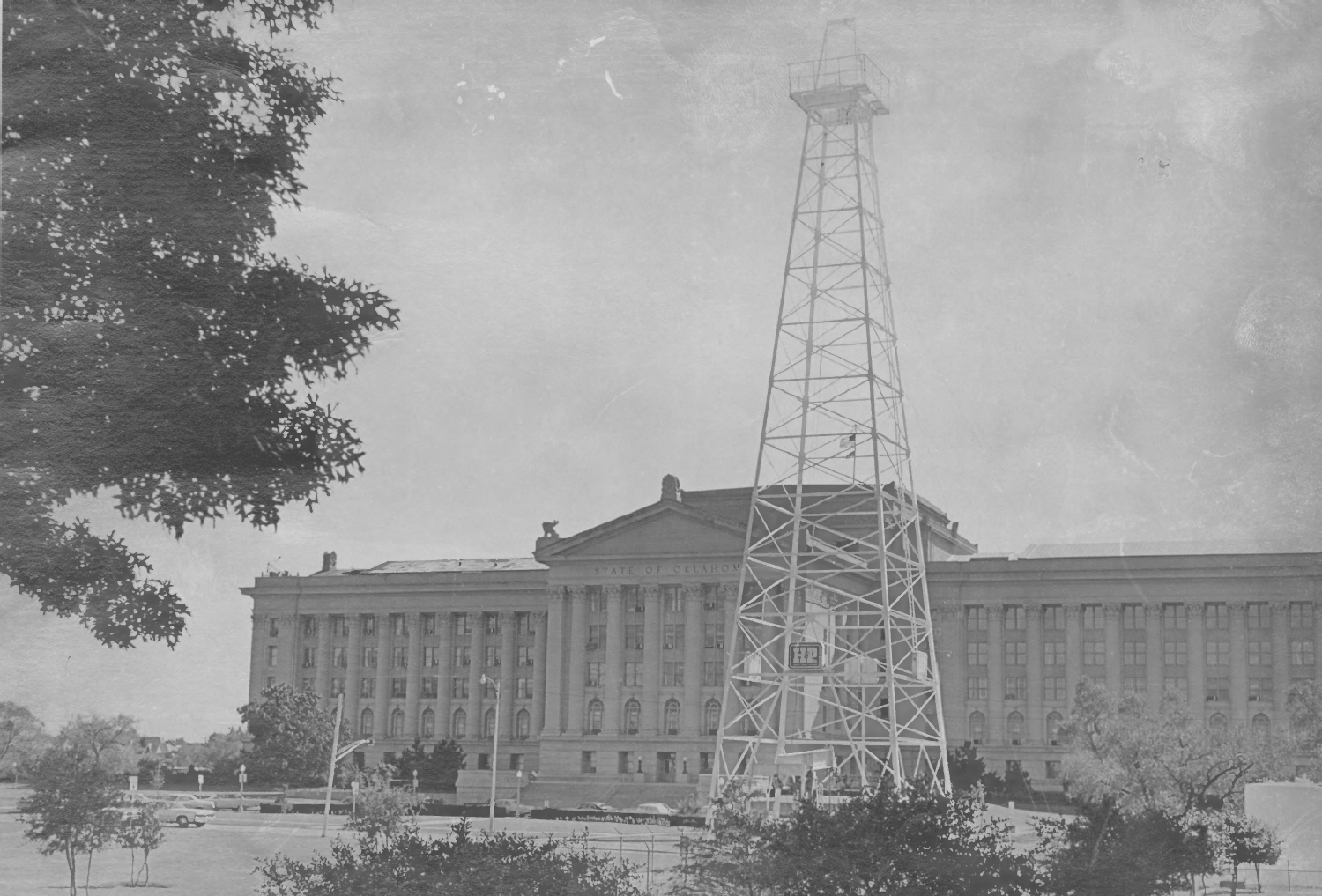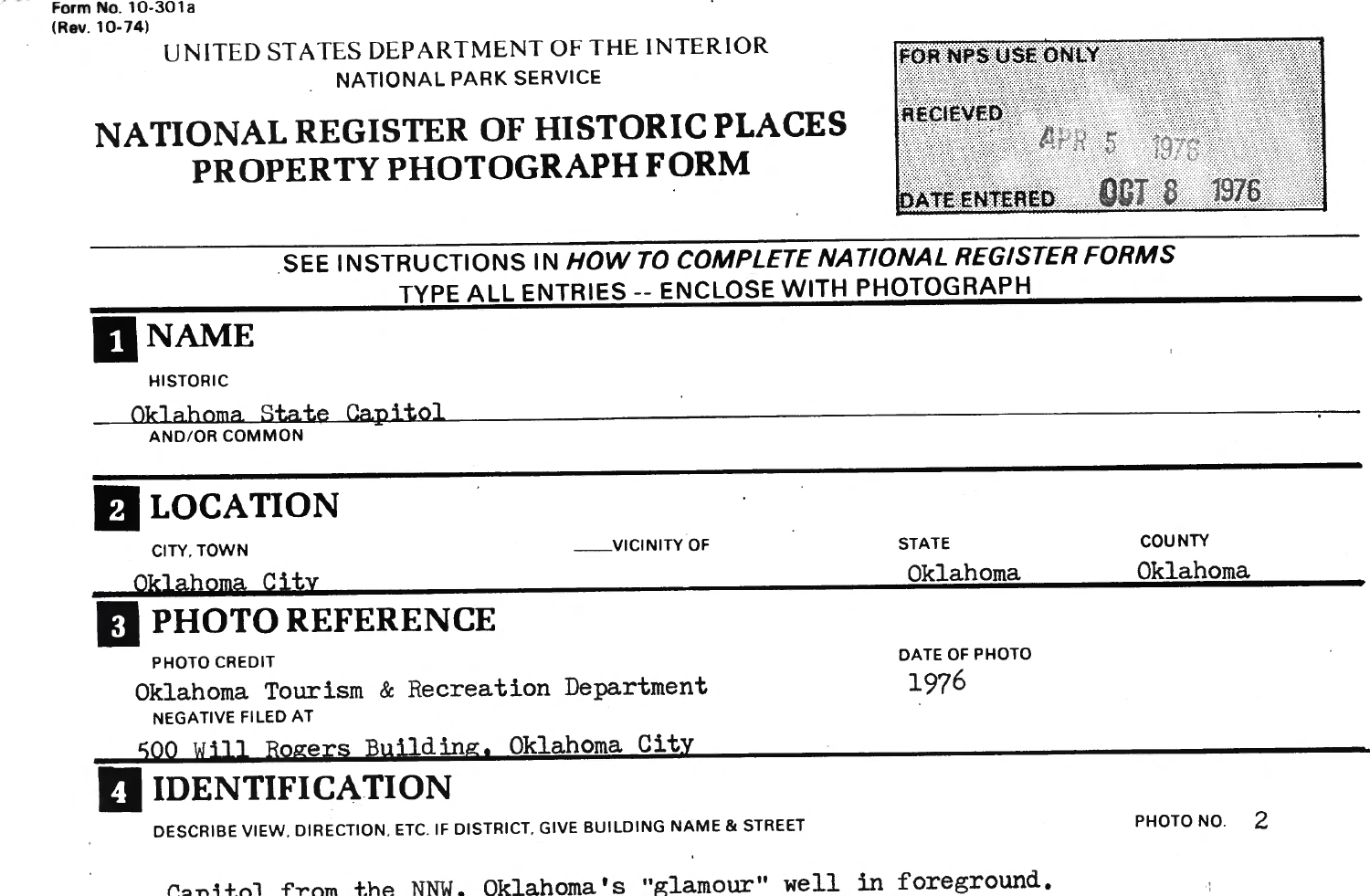**Form No. 10-301 a (Rev. 10-74)**

**UNITED STATES DEPARTMENT OF THE INTERIOR NATIONAL PARK SERVICE**

## **NATIONAL REGISTER OF HISTORIC PLACES PROPERTY PHOTOGRAPH FORM**



## SEE INSTRUCTIONS IN **HOW TO COMPLETE NATIONAL REGISTER FORMS**  TYPE ALL ENTRIES -- ENCLOSE WITH PHOTOGRAPH

| <b>NAME</b><br><b>HISTORIC</b>                                          |               |                |
|-------------------------------------------------------------------------|---------------|----------------|
| Oklahoma State Capitol<br><b>AND/OR COMMON</b>                          |               |                |
| <b>LOCATION</b>                                                         |               |                |
| <b>VICINITY OF</b><br>CITY, TOWN                                        | <b>STATE</b>  | <b>COUNTY</b>  |
| Oklahoma City                                                           | Oklahoma      | Oklahoma       |
| <b>PHOTO REFERENCE</b><br>PHOTO CREDIT                                  | DATE OF PHOTO |                |
| Oklahoma Tourism & Recreation Department<br>NEGATIVE FILED AT           | 1976          |                |
| 500 Will Rogers Building. Oklahoma City                                 |               |                |
| <b>IDENTIFICATION</b>                                                   |               |                |
| DESCRIBE VIEW, DIRECTION, ETC. IF DISTRICT, GIVE BUILDING NAME & STREET |               | 2<br>PHOTO NO. |
| Capitol from the NNW. Oklahoma's "glamour" well in foreground.          |               |                |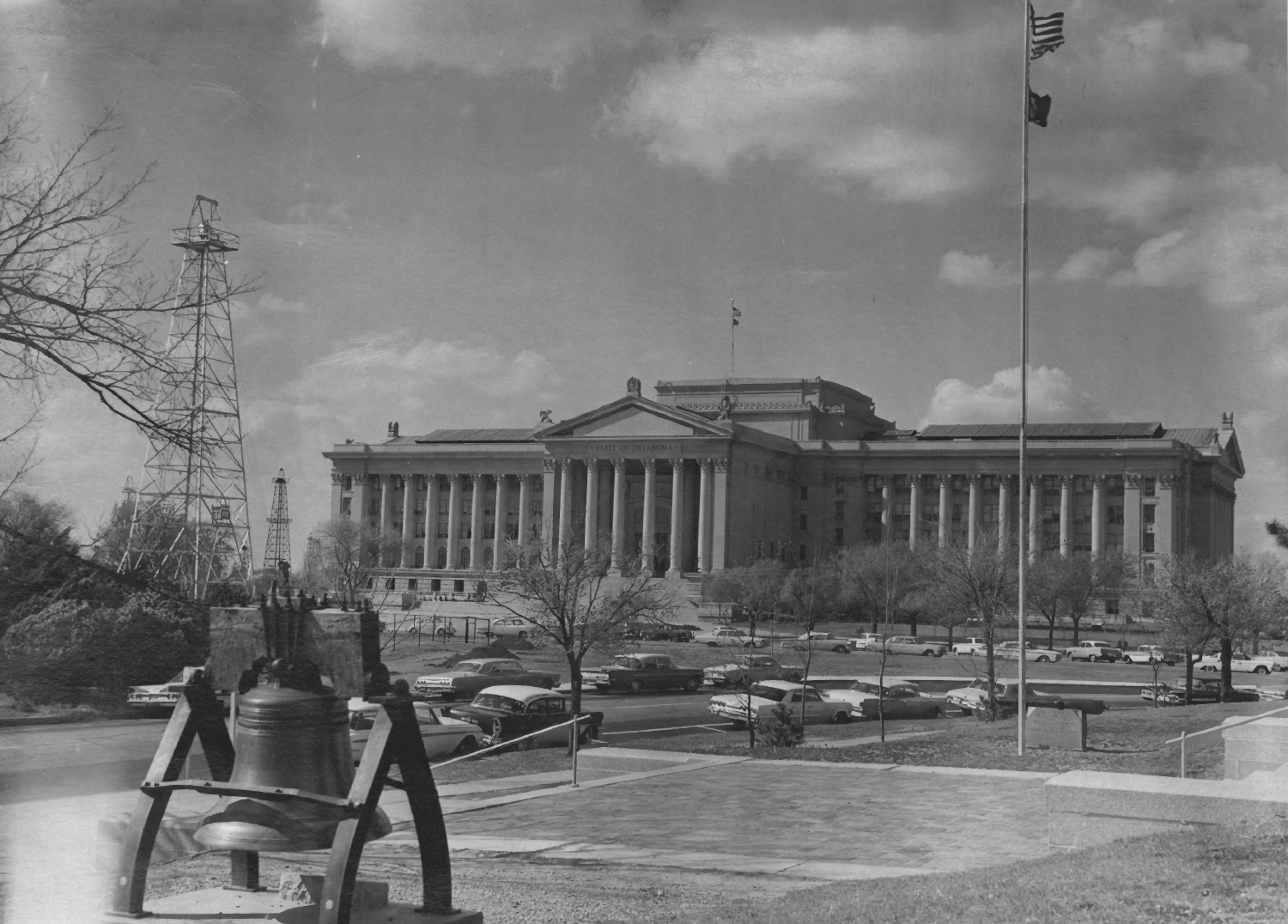